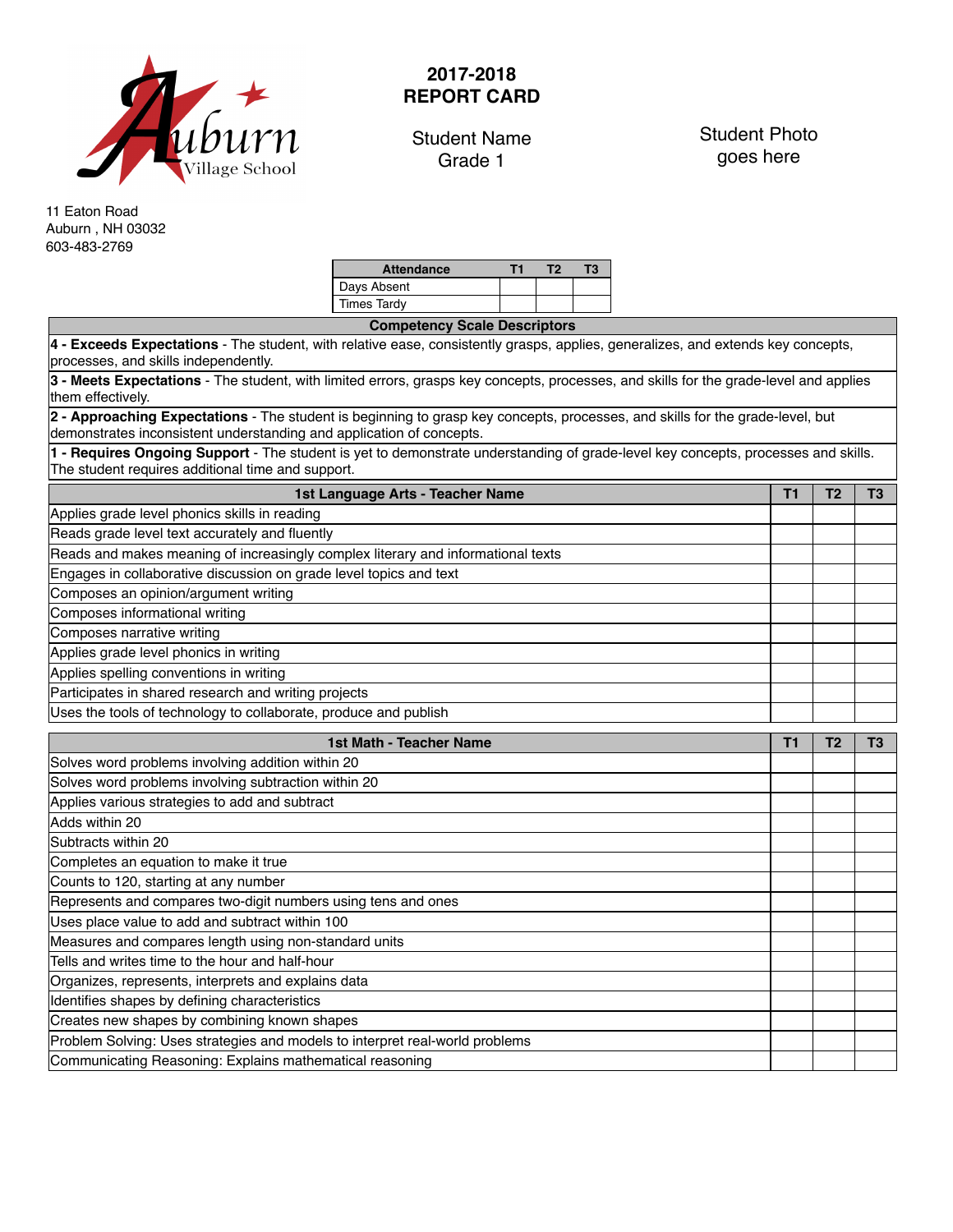

## **2017-2018 REPORT CARD**

Student Name Grade 1

Student Photo goes here

11 Eaton Road Auburn , NH 03032 603-483-2769

| Т3 |
|----|
|    |
|    |
|    |

| <b>Competency Scale Descriptors</b>                                                                                                                                                                   |                |                |                |  |  |  |  |  |  |  |
|-------------------------------------------------------------------------------------------------------------------------------------------------------------------------------------------------------|----------------|----------------|----------------|--|--|--|--|--|--|--|
| 4 - Exceeds Expectations - The student, with relative ease, consistently grasps, applies, generalizes, and extends key concepts,<br>processes, and skills independently.                              |                |                |                |  |  |  |  |  |  |  |
| 3 - Meets Expectations - The student, with limited errors, grasps key concepts, processes, and skills for the grade-level and applies<br>them effectively.                                            |                |                |                |  |  |  |  |  |  |  |
| 2 - Approaching Expectations - The student is beginning to grasp key concepts, processes, and skills for the grade-level, but<br>demonstrates inconsistent understanding and application of concepts. |                |                |                |  |  |  |  |  |  |  |
| 1 - Requires Ongoing Support - The student is yet to demonstrate understanding of grade-level key concepts, processes and skills.<br>The student requires additional time and support.                |                |                |                |  |  |  |  |  |  |  |
| 1st Language Arts - Teacher Name                                                                                                                                                                      |                |                |                |  |  |  |  |  |  |  |
| Applies grade level phonics skills in reading                                                                                                                                                         |                |                |                |  |  |  |  |  |  |  |
| Reads grade level text accurately and fluently                                                                                                                                                        |                |                |                |  |  |  |  |  |  |  |
| Reads and makes meaning of increasingly complex literary and informational texts                                                                                                                      |                |                |                |  |  |  |  |  |  |  |
| Engages in collaborative discussion on grade level topics and text                                                                                                                                    |                |                |                |  |  |  |  |  |  |  |
| Composes an opinion/argument writing                                                                                                                                                                  |                |                |                |  |  |  |  |  |  |  |
| Composes informational writing                                                                                                                                                                        |                |                |                |  |  |  |  |  |  |  |
| Composes narrative writing                                                                                                                                                                            |                |                |                |  |  |  |  |  |  |  |
| Applies grade level phonics in writing                                                                                                                                                                |                |                |                |  |  |  |  |  |  |  |
| Applies spelling conventions in writing                                                                                                                                                               |                |                |                |  |  |  |  |  |  |  |
| Participates in shared research and writing projects                                                                                                                                                  |                |                |                |  |  |  |  |  |  |  |
|                                                                                                                                                                                                       |                |                |                |  |  |  |  |  |  |  |
| Uses the tools of technology to collaborate, produce and publish                                                                                                                                      |                |                |                |  |  |  |  |  |  |  |
| 1st Math - Teacher Name                                                                                                                                                                               | T <sub>1</sub> | T <sub>2</sub> | T <sub>3</sub> |  |  |  |  |  |  |  |
| Solves word problems involving addition within 20                                                                                                                                                     |                |                |                |  |  |  |  |  |  |  |
| Solves word problems involving subtraction within 20                                                                                                                                                  |                |                |                |  |  |  |  |  |  |  |
| Applies various strategies to add and subtract                                                                                                                                                        |                |                |                |  |  |  |  |  |  |  |
| Adds within 20                                                                                                                                                                                        |                |                |                |  |  |  |  |  |  |  |
| Subtracts within 20                                                                                                                                                                                   |                |                |                |  |  |  |  |  |  |  |
| Completes an equation to make it true                                                                                                                                                                 |                |                |                |  |  |  |  |  |  |  |
| Counts to 120, starting at any number                                                                                                                                                                 |                |                |                |  |  |  |  |  |  |  |
| Represents and compares two-digit numbers using tens and ones                                                                                                                                         |                |                |                |  |  |  |  |  |  |  |
| Uses place value to add and subtract within 100                                                                                                                                                       |                |                |                |  |  |  |  |  |  |  |
| Measures and compares length using non-standard units                                                                                                                                                 |                |                |                |  |  |  |  |  |  |  |
| Tells and writes time to the hour and half-hour                                                                                                                                                       |                |                |                |  |  |  |  |  |  |  |
| Organizes, represents, interprets and explains data                                                                                                                                                   |                |                |                |  |  |  |  |  |  |  |
| Identifies shapes by defining characteristics                                                                                                                                                         |                |                |                |  |  |  |  |  |  |  |
| Creates new shapes by combining known shapes                                                                                                                                                          |                |                |                |  |  |  |  |  |  |  |
| Problem Solving: Uses strategies and models to interpret real-world problems<br>Communicating Reasoning: Explains mathematical reasoning                                                              |                |                |                |  |  |  |  |  |  |  |